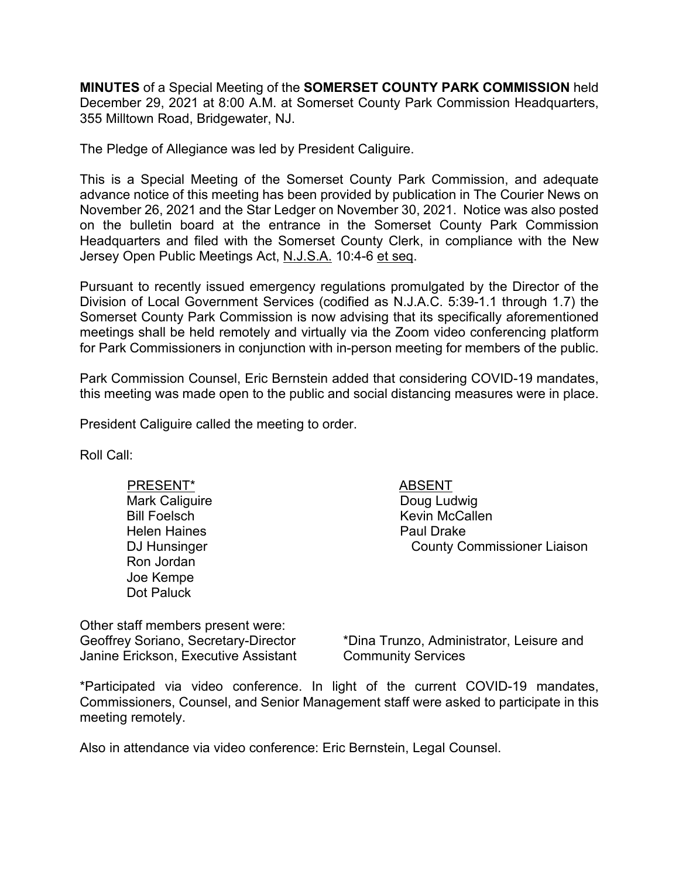**MINUTES** of a Special Meeting of the **SOMERSET COUNTY PARK COMMISSION** held December 29, 2021 at 8:00 A.M. at Somerset County Park Commission Headquarters, 355 Milltown Road, Bridgewater, NJ.

The Pledge of Allegiance was led by President Caliguire.

This is a Special Meeting of the Somerset County Park Commission, and adequate advance notice of this meeting has been provided by publication in The Courier News on November 26, 2021 and the Star Ledger on November 30, 2021. Notice was also posted on the bulletin board at the entrance in the Somerset County Park Commission Headquarters and filed with the Somerset County Clerk, in compliance with the New Jersey Open Public Meetings Act, N.J.S.A. 10:4-6 et seq.

Pursuant to recently issued emergency regulations promulgated by the Director of the Division of Local Government Services (codified as N.J.A.C. 5:39-1.1 through 1.7) the Somerset County Park Commission is now advising that its specifically aforementioned meetings shall be held remotely and virtually via the Zoom video conferencing platform for Park Commissioners in conjunction with in-person meeting for members of the public.

Park Commission Counsel, Eric Bernstein added that considering COVID-19 mandates, this meeting was made open to the public and social distancing measures were in place.

President Caliguire called the meeting to order.

Roll Call:

PRESENT\* ABSENT Mark Caliguire Bill Foelsch Helen Haines DJ Hunsinger Ron Jordan Joe Kempe Dot Paluck

Doug Ludwig Kevin McCallen Paul Drake County Commissioner Liaison

Other staff members present were: Geoffrey Soriano, Secretary-Director Janine Erickson, Executive Assistant

\*Dina Trunzo, Administrator, Leisure and Community Services

\*Participated via video conference. In light of the current COVID-19 mandates, Commissioners, Counsel, and Senior Management staff were asked to participate in this meeting remotely.

Also in attendance via video conference: Eric Bernstein, Legal Counsel.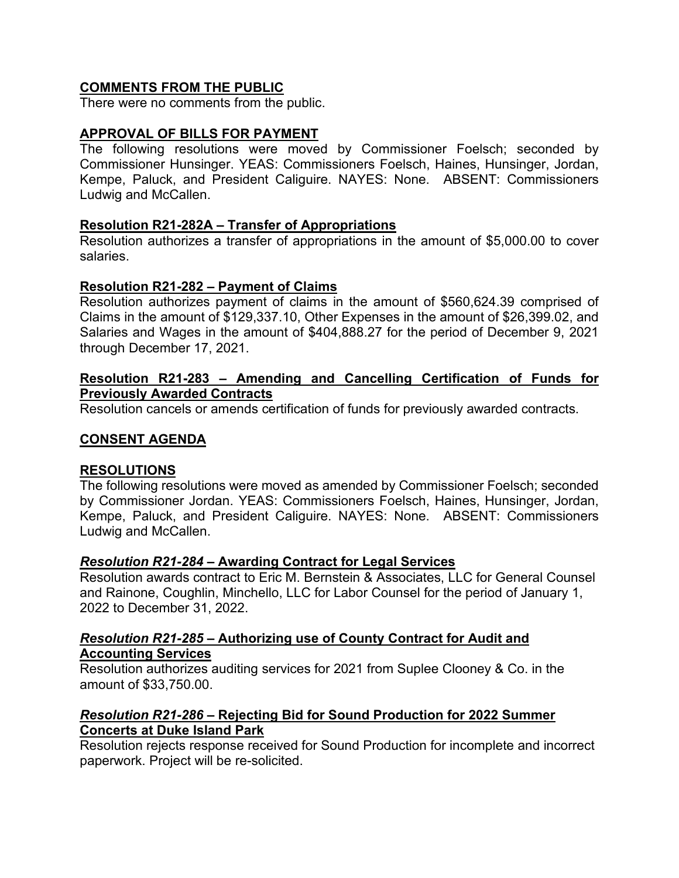#### **COMMENTS FROM THE PUBLIC**

There were no comments from the public.

## **APPROVAL OF BILLS FOR PAYMENT**

The following resolutions were moved by Commissioner Foelsch; seconded by Commissioner Hunsinger. YEAS: Commissioners Foelsch, Haines, Hunsinger, Jordan, Kempe, Paluck, and President Caliguire. NAYES: None. ABSENT: Commissioners Ludwig and McCallen.

#### **Resolution R21-282A – Transfer of Appropriations**

Resolution authorizes a transfer of appropriations in the amount of \$5,000.00 to cover salaries.

#### **Resolution R21-282 – Payment of Claims**

Resolution authorizes payment of claims in the amount of \$560,624.39 comprised of Claims in the amount of \$129,337.10, Other Expenses in the amount of \$26,399.02, and Salaries and Wages in the amount of \$404,888.27 for the period of December 9, 2021 through December 17, 2021.

#### **Resolution R21-283 – Amending and Cancelling Certification of Funds for Previously Awarded Contracts**

Resolution cancels or amends certification of funds for previously awarded contracts.

#### **CONSENT AGENDA**

#### **RESOLUTIONS**

The following resolutions were moved as amended by Commissioner Foelsch; seconded by Commissioner Jordan. YEAS: Commissioners Foelsch, Haines, Hunsinger, Jordan, Kempe, Paluck, and President Caliguire. NAYES: None. ABSENT: Commissioners Ludwig and McCallen.

#### *Resolution R21-284* **– Awarding Contract for Legal Services**

Resolution awards contract to Eric M. Bernstein & Associates, LLC for General Counsel and Rainone, Coughlin, Minchello, LLC for Labor Counsel for the period of January 1, 2022 to December 31, 2022.

#### *Resolution R21-285* **– Authorizing use of County Contract for Audit and Accounting Services**

Resolution authorizes auditing services for 2021 from Suplee Clooney & Co. in the amount of \$33,750.00.

## *Resolution R21-286 –* **Rejecting Bid for Sound Production for 2022 Summer Concerts at Duke Island Park**

Resolution rejects response received for Sound Production for incomplete and incorrect paperwork. Project will be re-solicited.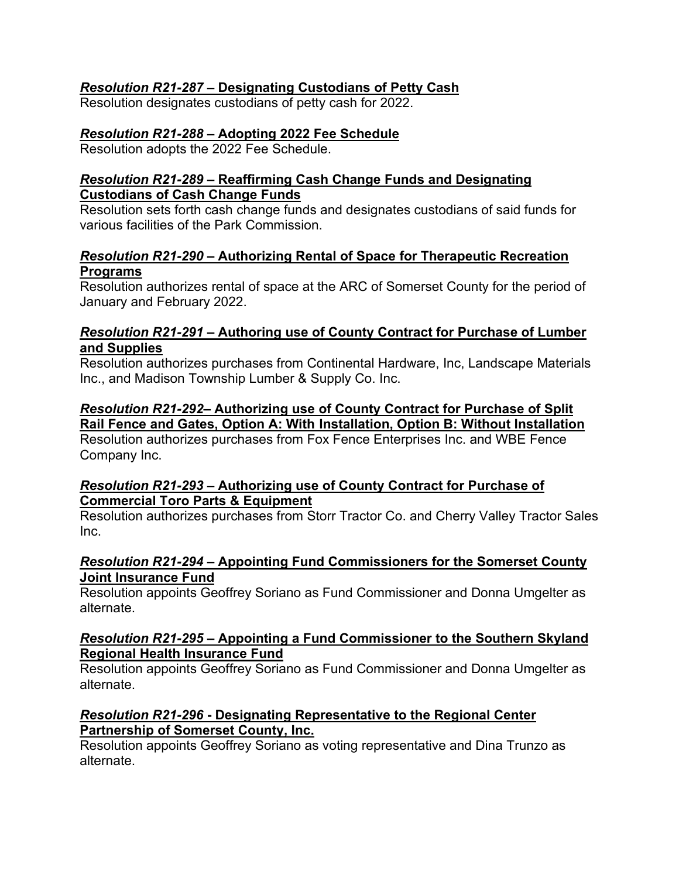# *Resolution R21-287* **– Designating Custodians of Petty Cash**

Resolution designates custodians of petty cash for 2022.

## *Resolution R21-288* **– Adopting 2022 Fee Schedule**

Resolution adopts the 2022 Fee Schedule.

## *Resolution R21-289* **– Reaffirming Cash Change Funds and Designating Custodians of Cash Change Funds**

Resolution sets forth cash change funds and designates custodians of said funds for various facilities of the Park Commission.

## *Resolution R21-290* **– Authorizing Rental of Space for Therapeutic Recreation Programs**

Resolution authorizes rental of space at the ARC of Somerset County for the period of January and February 2022.

## *Resolution R21-291 –* **Authoring use of County Contract for Purchase of Lumber and Supplies**

Resolution authorizes purchases from Continental Hardware, Inc, Landscape Materials Inc., and Madison Township Lumber & Supply Co. Inc.

# *Resolution R21-292***– Authorizing use of County Contract for Purchase of Split Rail Fence and Gates, Option A: With Installation, Option B: Without Installation**

Resolution authorizes purchases from Fox Fence Enterprises Inc. and WBE Fence Company Inc.

# *Resolution R21-293* **– Authorizing use of County Contract for Purchase of Commercial Toro Parts & Equipment**

Resolution authorizes purchases from Storr Tractor Co. and Cherry Valley Tractor Sales Inc.

## *Resolution R21-294* **– Appointing Fund Commissioners for the Somerset County Joint Insurance Fund**

Resolution appoints Geoffrey Soriano as Fund Commissioner and Donna Umgelter as alternate.

## *Resolution R21-295* **– Appointing a Fund Commissioner to the Southern Skyland Regional Health Insurance Fund**

Resolution appoints Geoffrey Soriano as Fund Commissioner and Donna Umgelter as alternate.

# *Resolution R21-296* **- Designating Representative to the Regional Center Partnership of Somerset County, Inc.**

Resolution appoints Geoffrey Soriano as voting representative and Dina Trunzo as alternate.